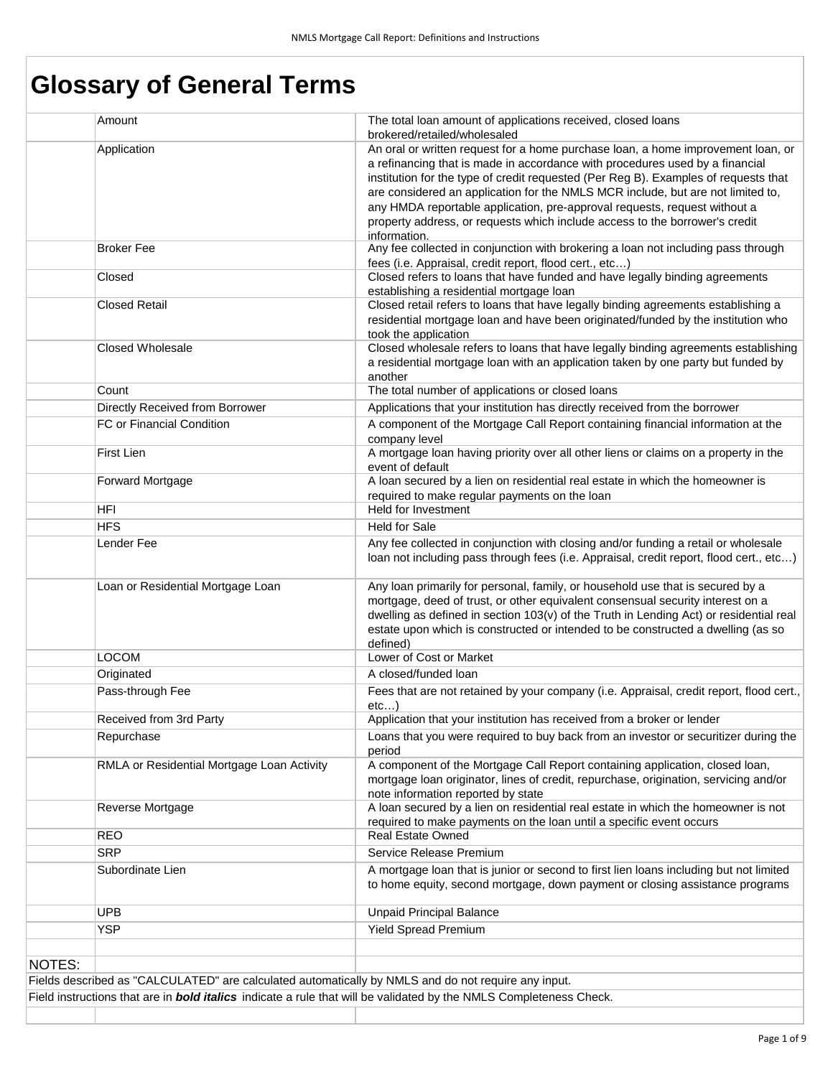# **Glossary of General Terms**

|        | Amount                                                                                              | The total loan amount of applications received, closed loans<br>brokered/retailed/wholesaled                                                                                 |
|--------|-----------------------------------------------------------------------------------------------------|------------------------------------------------------------------------------------------------------------------------------------------------------------------------------|
|        | Application                                                                                         | An oral or written request for a home purchase loan, a home improvement loan, or                                                                                             |
|        |                                                                                                     | a refinancing that is made in accordance with procedures used by a financial                                                                                                 |
|        |                                                                                                     | institution for the type of credit requested (Per Reg B). Examples of requests that                                                                                          |
|        |                                                                                                     | are considered an application for the NMLS MCR include, but are not limited to,                                                                                              |
|        |                                                                                                     | any HMDA reportable application, pre-approval requests, request without a                                                                                                    |
|        |                                                                                                     | property address, or requests which include access to the borrower's credit<br>information.                                                                                  |
|        | <b>Broker Fee</b>                                                                                   | Any fee collected in conjunction with brokering a loan not including pass through                                                                                            |
|        |                                                                                                     | fees (i.e. Appraisal, credit report, flood cert., etc)                                                                                                                       |
|        | Closed                                                                                              | Closed refers to loans that have funded and have legally binding agreements<br>establishing a residential mortgage loan                                                      |
|        | <b>Closed Retail</b>                                                                                | Closed retail refers to loans that have legally binding agreements establishing a                                                                                            |
|        |                                                                                                     | residential mortgage loan and have been originated/funded by the institution who                                                                                             |
|        |                                                                                                     | took the application                                                                                                                                                         |
|        | <b>Closed Wholesale</b>                                                                             | Closed wholesale refers to loans that have legally binding agreements establishing<br>a residential mortgage loan with an application taken by one party but funded by       |
|        |                                                                                                     | another                                                                                                                                                                      |
|        | Count                                                                                               | The total number of applications or closed loans                                                                                                                             |
|        | Directly Received from Borrower                                                                     | Applications that your institution has directly received from the borrower                                                                                                   |
|        | FC or Financial Condition                                                                           | A component of the Mortgage Call Report containing financial information at the                                                                                              |
|        |                                                                                                     | company level                                                                                                                                                                |
|        | First Lien                                                                                          | A mortgage loan having priority over all other liens or claims on a property in the<br>event of default                                                                      |
|        | Forward Mortgage                                                                                    | A loan secured by a lien on residential real estate in which the homeowner is                                                                                                |
|        |                                                                                                     | required to make regular payments on the loan                                                                                                                                |
|        | HFI                                                                                                 | Held for Investment                                                                                                                                                          |
|        | <b>HFS</b>                                                                                          | <b>Held for Sale</b>                                                                                                                                                         |
|        | Lender Fee                                                                                          | Any fee collected in conjunction with closing and/or funding a retail or wholesale<br>loan not including pass through fees (i.e. Appraisal, credit report, flood cert., etc) |
|        | Loan or Residential Mortgage Loan                                                                   | Any loan primarily for personal, family, or household use that is secured by a                                                                                               |
|        |                                                                                                     | mortgage, deed of trust, or other equivalent consensual security interest on a                                                                                               |
|        |                                                                                                     | dwelling as defined in section 103(v) of the Truth in Lending Act) or residential real<br>estate upon which is constructed or intended to be constructed a dwelling (as so   |
|        |                                                                                                     | defined)                                                                                                                                                                     |
|        | LOCOM                                                                                               | Lower of Cost or Market                                                                                                                                                      |
|        | Originated                                                                                          | A closed/funded loan                                                                                                                                                         |
|        | Pass-through Fee                                                                                    | Fees that are not retained by your company (i.e. Appraisal, credit report, flood cert.,                                                                                      |
|        | Received from 3rd Party                                                                             | etc<br>Application that your institution has received from a broker or lender                                                                                                |
|        | Repurchase                                                                                          | Loans that you were required to buy back from an investor or securitizer during the                                                                                          |
|        |                                                                                                     | period                                                                                                                                                                       |
|        | RMLA or Residential Mortgage Loan Activity                                                          | A component of the Mortgage Call Report containing application, closed loan,                                                                                                 |
|        |                                                                                                     | mortgage loan originator, lines of credit, repurchase, origination, servicing and/or<br>note information reported by state                                                   |
|        | Reverse Mortgage                                                                                    | A loan secured by a lien on residential real estate in which the homeowner is not                                                                                            |
|        |                                                                                                     | required to make payments on the loan until a specific event occurs                                                                                                          |
|        | <b>REO</b>                                                                                          | <b>Real Estate Owned</b>                                                                                                                                                     |
|        | <b>SRP</b>                                                                                          | Service Release Premium                                                                                                                                                      |
|        | Subordinate Lien                                                                                    | A mortgage loan that is junior or second to first lien loans including but not limited<br>to home equity, second mortgage, down payment or closing assistance programs       |
|        | <b>UPB</b>                                                                                          | <b>Unpaid Principal Balance</b>                                                                                                                                              |
|        | <b>YSP</b>                                                                                          | <b>Yield Spread Premium</b>                                                                                                                                                  |
|        |                                                                                                     |                                                                                                                                                                              |
| NOTES: |                                                                                                     |                                                                                                                                                                              |
|        | Fields described as "CALCULATED" are calculated automatically by NMLS and do not require any input. |                                                                                                                                                                              |
|        |                                                                                                     | Field instructions that are in <b>bold italics</b> indicate a rule that will be validated by the NMLS Completeness Check.                                                    |
|        |                                                                                                     |                                                                                                                                                                              |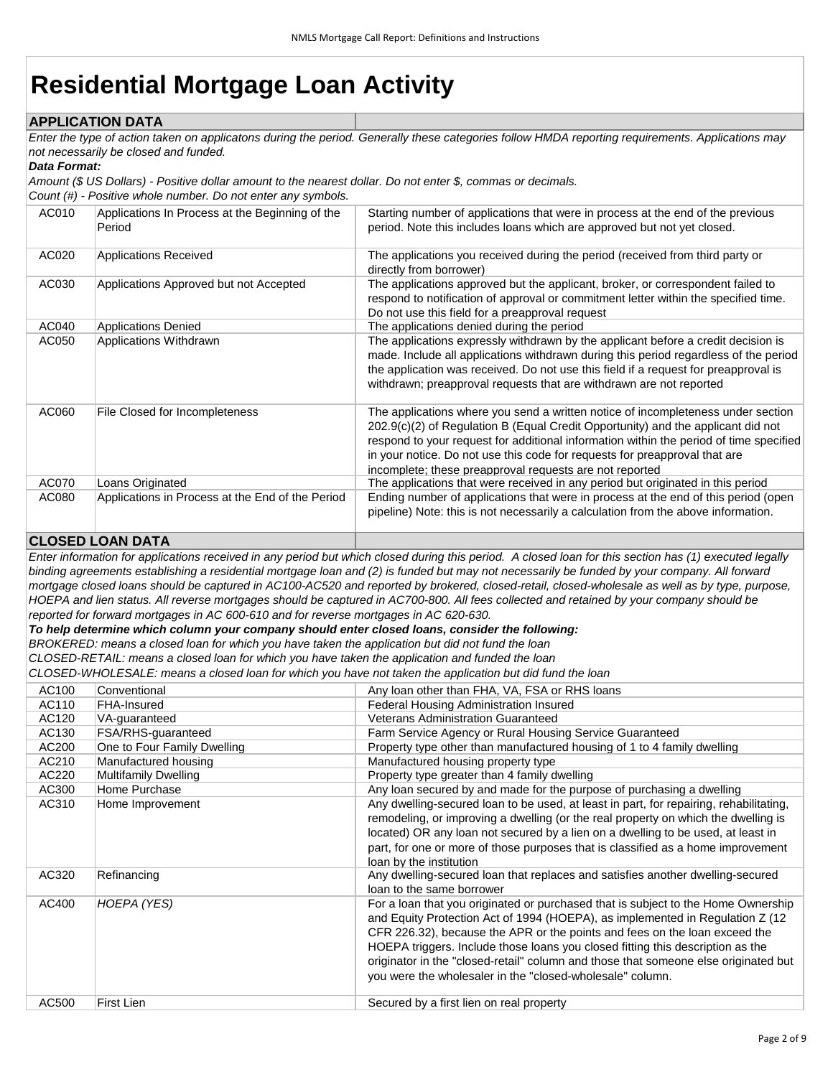# **Residential Mortgage Loan Activity**

## **APPLICATION DATA**

*Enter the type of action taken on applicatons during the period. Generally these categories follow HMDA reporting requirements. Applications may not necessarily be closed and funded.* 

#### *Data Format:*

*Amount (\$ US Dollars) - Positive dollar amount to the nearest dollar. Do not enter \$, commas or decimals.* 

*Count (#) - Positive whole number. Do not enter any symbols.*

| AC010 | Applications In Process at the Beginning of the<br>Period | Starting number of applications that were in process at the end of the previous<br>period. Note this includes loans which are approved but not yet closed.                                                                                                                                                                                                                                              |
|-------|-----------------------------------------------------------|---------------------------------------------------------------------------------------------------------------------------------------------------------------------------------------------------------------------------------------------------------------------------------------------------------------------------------------------------------------------------------------------------------|
| AC020 | <b>Applications Received</b>                              | The applications you received during the period (received from third party or<br>directly from borrower)                                                                                                                                                                                                                                                                                                |
| AC030 | Applications Approved but not Accepted                    | The applications approved but the applicant, broker, or correspondent failed to<br>respond to notification of approval or commitment letter within the specified time.<br>Do not use this field for a preapproval request                                                                                                                                                                               |
| AC040 | <b>Applications Denied</b>                                | The applications denied during the period                                                                                                                                                                                                                                                                                                                                                               |
| AC050 | Applications Withdrawn                                    | The applications expressly withdrawn by the applicant before a credit decision is<br>made. Include all applications withdrawn during this period regardless of the period<br>the application was received. Do not use this field if a request for preapproval is<br>withdrawn; preapproval requests that are withdrawn are not reported                                                                 |
| AC060 | File Closed for Incompleteness                            | The applications where you send a written notice of incompleteness under section<br>202.9(c)(2) of Regulation B (Equal Credit Opportunity) and the applicant did not<br>respond to your request for additional information within the period of time specified<br>in your notice. Do not use this code for requests for preapproval that are<br>incomplete; these preapproval requests are not reported |
| AC070 | Loans Originated                                          | The applications that were received in any period but originated in this period                                                                                                                                                                                                                                                                                                                         |
| AC080 | Applications in Process at the End of the Period          | Ending number of applications that were in process at the end of this period (open<br>pipeline) Note: this is not necessarily a calculation from the above information.                                                                                                                                                                                                                                 |

## **CLOSED LOAN DATA**

*Enter information for applications received in any period but which closed during this period. A closed loan for this section has (1) executed legally binding agreements establishing a residential mortgage loan and (2) is funded but may not necessarily be funded by your company. All forward mortgage closed loans should be captured in AC100-AC520 and reported by brokered, closed-retail, closed-wholesale as well as by type, purpose, HOEPA and lien status. All reverse mortgages should be captured in AC700-800. All fees collected and retained by your company should be reported for forward mortgages in AC 600-610 and for reverse mortgages in AC 620-630.* 

*To help determine which column your company should enter closed loans, consider the following:*

*BROKERED: means a closed loan for which you have taken the application but did not fund the loan*

*CLOSED-RETAIL: means a closed loan for which you have taken the application and funded the loan*

*CLOSED-WHOLESALE: means a closed loan for which you have not taken the application but did fund the loan*

| AC100 | Conventional                | Any loan other than FHA, VA, FSA or RHS loans                                          |
|-------|-----------------------------|----------------------------------------------------------------------------------------|
| AC110 | FHA-Insured                 | Federal Housing Administration Insured                                                 |
| AC120 | VA-quaranteed               | <b>Veterans Administration Guaranteed</b>                                              |
| AC130 | FSA/RHS-guaranteed          | Farm Service Agency or Rural Housing Service Guaranteed                                |
| AC200 | One to Four Family Dwelling | Property type other than manufactured housing of 1 to 4 family dwelling                |
| AC210 | Manufactured housing        | Manufactured housing property type                                                     |
| AC220 | <b>Multifamily Dwelling</b> | Property type greater than 4 family dwelling                                           |
| AC300 | Home Purchase               | Any loan secured by and made for the purpose of purchasing a dwelling                  |
| AC310 | Home Improvement            | Any dwelling-secured loan to be used, at least in part, for repairing, rehabilitating, |
|       |                             | remodeling, or improving a dwelling (or the real property on which the dwelling is     |
|       |                             | located) OR any loan not secured by a lien on a dwelling to be used, at least in       |
|       |                             | part, for one or more of those purposes that is classified as a home improvement       |
|       |                             | loan by the institution                                                                |
| AC320 | Refinancing                 | Any dwelling-secured loan that replaces and satisfies another dwelling-secured         |
|       |                             | loan to the same borrower                                                              |
| AC400 | HOEPA (YES)                 | For a loan that you originated or purchased that is subject to the Home Ownership      |
|       |                             | and Equity Protection Act of 1994 (HOEPA), as implemented in Regulation Z (12          |
|       |                             | CFR 226.32), because the APR or the points and fees on the loan exceed the             |
|       |                             | HOEPA triggers. Include those loans you closed fitting this description as the         |
|       |                             | originator in the "closed-retail" column and those that someone else originated but    |
|       |                             | you were the wholesaler in the "closed-wholesale" column.                              |
|       |                             |                                                                                        |
| AC500 | First Lien                  | Secured by a first lien on real property                                               |
|       |                             |                                                                                        |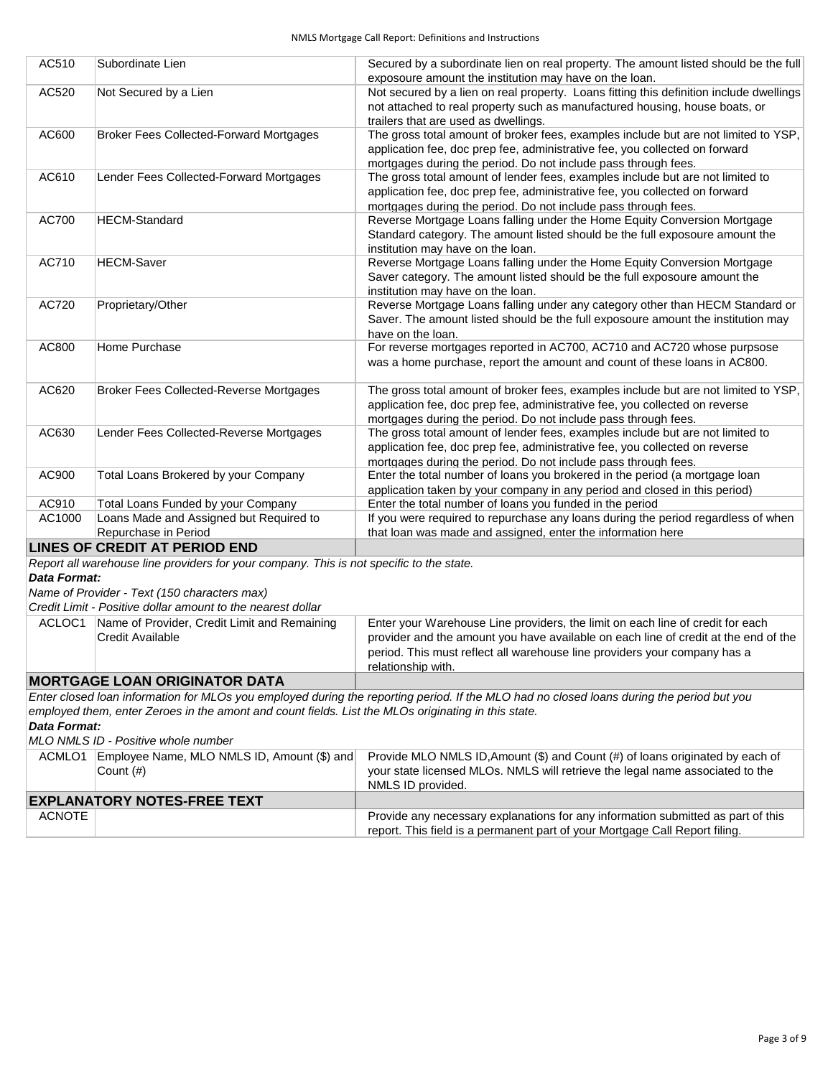| AC510  | Subordinate Lien                               | Secured by a subordinate lien on real property. The amount listed should be the full<br>exposoure amount the institution may have on the loan.                                                                                       |
|--------|------------------------------------------------|--------------------------------------------------------------------------------------------------------------------------------------------------------------------------------------------------------------------------------------|
| AC520  | Not Secured by a Lien                          | Not secured by a lien on real property. Loans fitting this definition include dwellings<br>not attached to real property such as manufactured housing, house boats, or<br>trailers that are used as dwellings.                       |
| AC600  | <b>Broker Fees Collected-Forward Mortgages</b> | The gross total amount of broker fees, examples include but are not limited to YSP,<br>application fee, doc prep fee, administrative fee, you collected on forward<br>mortgages during the period. Do not include pass through fees. |
| AC610  | Lender Fees Collected-Forward Mortgages        | The gross total amount of lender fees, examples include but are not limited to<br>application fee, doc prep fee, administrative fee, you collected on forward<br>mortgages during the period. Do not include pass through fees.      |
| AC700  | <b>HECM-Standard</b>                           | Reverse Mortgage Loans falling under the Home Equity Conversion Mortgage<br>Standard category. The amount listed should be the full exposoure amount the<br>institution may have on the loan.                                        |
| AC710  | <b>HECM-Saver</b>                              | Reverse Mortgage Loans falling under the Home Equity Conversion Mortgage<br>Saver category. The amount listed should be the full exposoure amount the<br>institution may have on the loan.                                           |
| AC720  | Proprietary/Other                              | Reverse Mortgage Loans falling under any category other than HECM Standard or<br>Saver. The amount listed should be the full exposoure amount the institution may<br>have on the loan.                                               |
| AC800  | Home Purchase                                  | For reverse mortgages reported in AC700, AC710 and AC720 whose purpsose<br>was a home purchase, report the amount and count of these loans in AC800.                                                                                 |
| AC620  | <b>Broker Fees Collected-Reverse Mortgages</b> | The gross total amount of broker fees, examples include but are not limited to YSP,<br>application fee, doc prep fee, administrative fee, you collected on reverse<br>mortgages during the period. Do not include pass through fees. |
| AC630  | Lender Fees Collected-Reverse Mortgages        | The gross total amount of lender fees, examples include but are not limited to<br>application fee, doc prep fee, administrative fee, you collected on reverse<br>mortgages during the period. Do not include pass through fees.      |
| AC900  | Total Loans Brokered by your Company           | Enter the total number of loans you brokered in the period (a mortgage loan<br>application taken by your company in any period and closed in this period)                                                                            |
| AC910  | Total Loans Funded by your Company             | Enter the total number of loans you funded in the period                                                                                                                                                                             |
| AC1000 | Loans Made and Assigned but Required to        | If you were required to repurchase any loans during the period regardless of when                                                                                                                                                    |
|        | Repurchase in Period                           | that loan was made and assigned, enter the information here                                                                                                                                                                          |
|        | LINES OF CREDIT AT PERIOD END                  |                                                                                                                                                                                                                                      |

#### **LINES OF CREDIT AT PERIOD END**

*Report all warehouse line providers for your company. This is not specific to the state.* 

*Data Format:*

*Name of Provider - Text (150 characters max)*

*Credit Limit - Positive dollar amount to the nearest dollar*

| ----------------------------                           |                                                                                     |
|--------------------------------------------------------|-------------------------------------------------------------------------------------|
|                                                        | relationship with.                                                                  |
|                                                        | period. This must reflect all warehouse line providers your company has a           |
| Credit Available                                       | provider and the amount you have available on each line of credit at the end of the |
| Name of Provider, Credit Limit and Remaining<br>ACLOC1 | Enter your Warehouse Line providers, the limit on each line of credit for each      |
|                                                        |                                                                                     |

### **MORTGAGE LOAN ORIGINATOR DATA**

*Enter closed loan information for MLOs you employed during the reporting period. If the MLO had no closed loans during the period but you employed them, enter Zeroes in the amont and count fields. List the MLOs originating in this state.* 

## *Data Format:*

*MLO NMLS ID - Positive whole number*

| ACMLO1                             | Employee Name, MLO NMLS ID, Amount (\$) and<br>Count $(\#)$ | Provide MLO NMLS ID, Amount (\$) and Count (#) of loans originated by each of<br>your state licensed MLOs. NMLS will retrieve the legal name associated to the<br>NMLS ID provided. |
|------------------------------------|-------------------------------------------------------------|-------------------------------------------------------------------------------------------------------------------------------------------------------------------------------------|
| <b>EXPLANATORY NOTES-FREE TEXT</b> |                                                             |                                                                                                                                                                                     |
| <b>ACNOTE</b>                      |                                                             | Provide any necessary explanations for any information submitted as part of this<br>report. This field is a permanent part of your Mortgage Call Report filing.                     |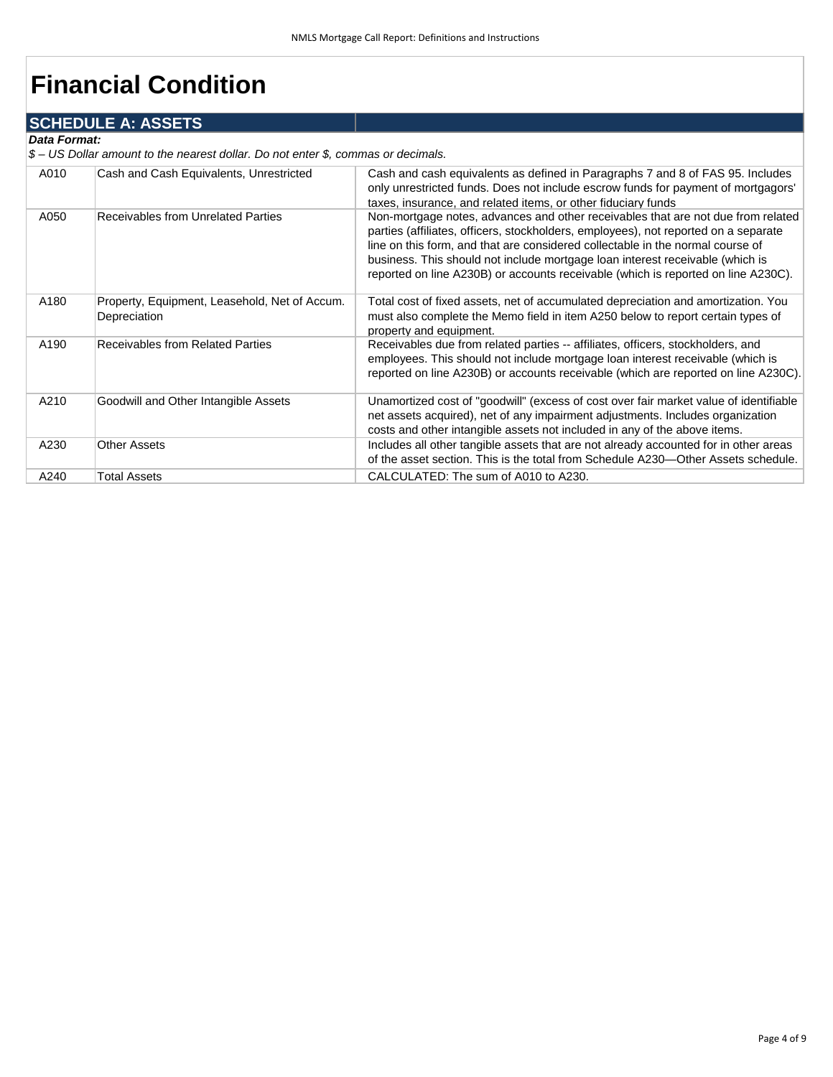# **Financial Condition**

## **SCHEDULE A: ASSETS**

#### *Data Format:*

*\$ – US Dollar amount to the nearest dollar. Do not enter \$, commas or decimals.* 

| A010 | Cash and Cash Equivalents, Unrestricted                       | Cash and cash equivalents as defined in Paragraphs 7 and 8 of FAS 95. Includes<br>only unrestricted funds. Does not include escrow funds for payment of mortgagors'<br>taxes, insurance, and related items, or other fiduciary funds                                                                                                                                                                                            |
|------|---------------------------------------------------------------|---------------------------------------------------------------------------------------------------------------------------------------------------------------------------------------------------------------------------------------------------------------------------------------------------------------------------------------------------------------------------------------------------------------------------------|
| A050 | Receivables from Unrelated Parties                            | Non-mortgage notes, advances and other receivables that are not due from related<br>parties (affiliates, officers, stockholders, employees), not reported on a separate<br>line on this form, and that are considered collectable in the normal course of<br>business. This should not include mortgage loan interest receivable (which is<br>reported on line A230B) or accounts receivable (which is reported on line A230C). |
| A180 | Property, Equipment, Leasehold, Net of Accum.<br>Depreciation | Total cost of fixed assets, net of accumulated depreciation and amortization. You<br>must also complete the Memo field in item A250 below to report certain types of<br>property and equipment.                                                                                                                                                                                                                                 |
| A190 | <b>Receivables from Related Parties</b>                       | Receivables due from related parties -- affiliates, officers, stockholders, and<br>employees. This should not include mortgage loan interest receivable (which is<br>reported on line A230B) or accounts receivable (which are reported on line A230C).                                                                                                                                                                         |
| A210 | Goodwill and Other Intangible Assets                          | Unamortized cost of "goodwill" (excess of cost over fair market value of identifiable<br>net assets acquired), net of any impairment adjustments. Includes organization<br>costs and other intangible assets not included in any of the above items.                                                                                                                                                                            |
| A230 | <b>Other Assets</b>                                           | Includes all other tangible assets that are not already accounted for in other areas<br>of the asset section. This is the total from Schedule A230—Other Assets schedule.                                                                                                                                                                                                                                                       |
| A240 | <b>Total Assets</b>                                           | CALCULATED: The sum of A010 to A230.                                                                                                                                                                                                                                                                                                                                                                                            |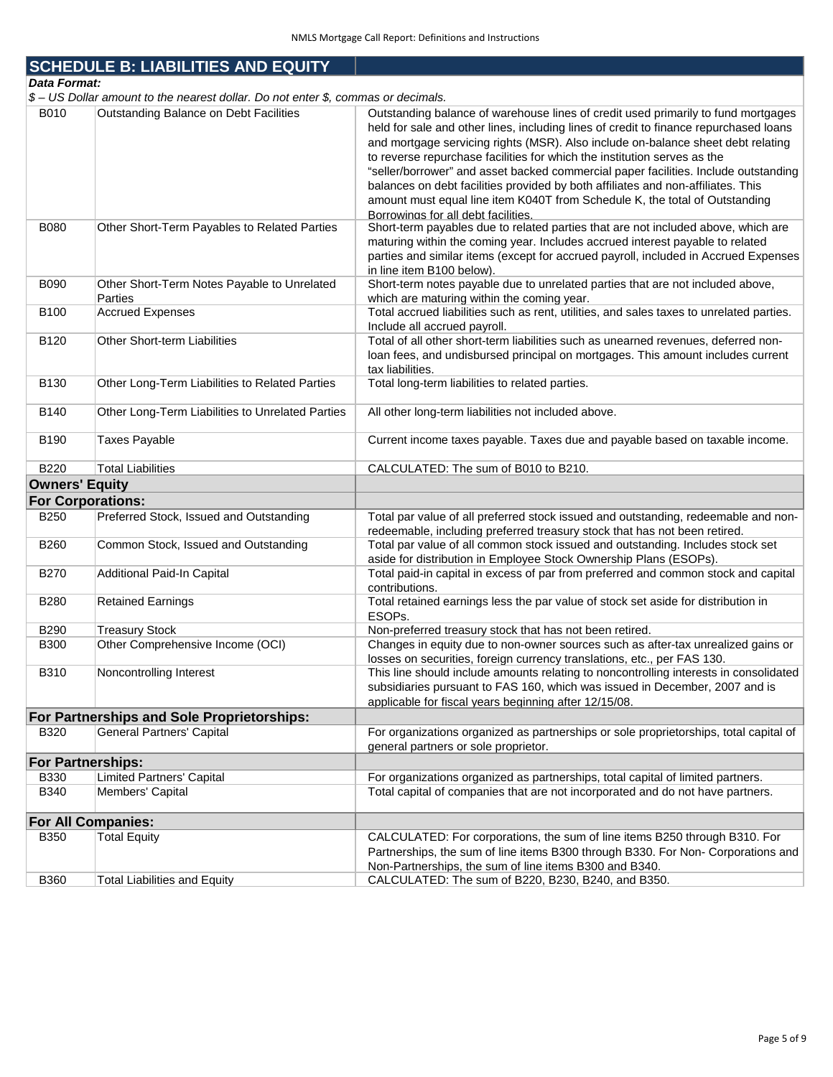|                          | <b>SCHEDULE B: LIABILITIES AND EQUITY</b>                                         |                                                                                                                                                                                                                                                                                                                                                                                                                                                                                                                                                                                                                                             |
|--------------------------|-----------------------------------------------------------------------------------|---------------------------------------------------------------------------------------------------------------------------------------------------------------------------------------------------------------------------------------------------------------------------------------------------------------------------------------------------------------------------------------------------------------------------------------------------------------------------------------------------------------------------------------------------------------------------------------------------------------------------------------------|
| <b>Data Format:</b>      |                                                                                   |                                                                                                                                                                                                                                                                                                                                                                                                                                                                                                                                                                                                                                             |
|                          | \$ - US Dollar amount to the nearest dollar. Do not enter \$, commas or decimals. |                                                                                                                                                                                                                                                                                                                                                                                                                                                                                                                                                                                                                                             |
| B010                     | Outstanding Balance on Debt Facilities                                            | Outstanding balance of warehouse lines of credit used primarily to fund mortgages<br>held for sale and other lines, including lines of credit to finance repurchased loans<br>and mortgage servicing rights (MSR). Also include on-balance sheet debt relating<br>to reverse repurchase facilities for which the institution serves as the<br>"seller/borrower" and asset backed commercial paper facilities. Include outstanding<br>balances on debt facilities provided by both affiliates and non-affiliates. This<br>amount must equal line item K040T from Schedule K, the total of Outstanding<br>Borrowings for all debt facilities. |
| <b>B080</b>              | Other Short-Term Payables to Related Parties                                      | Short-term payables due to related parties that are not included above, which are<br>maturing within the coming year. Includes accrued interest payable to related<br>parties and similar items (except for accrued payroll, included in Accrued Expenses<br>in line item B100 below).                                                                                                                                                                                                                                                                                                                                                      |
| <b>B090</b>              | Other Short-Term Notes Payable to Unrelated<br>Parties                            | Short-term notes payable due to unrelated parties that are not included above,<br>which are maturing within the coming year.                                                                                                                                                                                                                                                                                                                                                                                                                                                                                                                |
| <b>B100</b>              | <b>Accrued Expenses</b>                                                           | Total accrued liabilities such as rent, utilities, and sales taxes to unrelated parties.<br>Include all accrued payroll.                                                                                                                                                                                                                                                                                                                                                                                                                                                                                                                    |
| B120                     | Other Short-term Liabilities                                                      | Total of all other short-term liabilities such as unearned revenues, deferred non-<br>loan fees, and undisbursed principal on mortgages. This amount includes current<br>tax liabilities.                                                                                                                                                                                                                                                                                                                                                                                                                                                   |
| B130                     | Other Long-Term Liabilities to Related Parties                                    | Total long-term liabilities to related parties.                                                                                                                                                                                                                                                                                                                                                                                                                                                                                                                                                                                             |
| B140                     | Other Long-Term Liabilities to Unrelated Parties                                  | All other long-term liabilities not included above.                                                                                                                                                                                                                                                                                                                                                                                                                                                                                                                                                                                         |
| B190                     | <b>Taxes Payable</b>                                                              | Current income taxes payable. Taxes due and payable based on taxable income.                                                                                                                                                                                                                                                                                                                                                                                                                                                                                                                                                                |
| <b>B220</b>              | <b>Total Liabilities</b>                                                          | CALCULATED: The sum of B010 to B210.                                                                                                                                                                                                                                                                                                                                                                                                                                                                                                                                                                                                        |
| <b>Owners' Equity</b>    |                                                                                   |                                                                                                                                                                                                                                                                                                                                                                                                                                                                                                                                                                                                                                             |
| <b>For Corporations:</b> |                                                                                   |                                                                                                                                                                                                                                                                                                                                                                                                                                                                                                                                                                                                                                             |
| B250                     | Preferred Stock, Issued and Outstanding                                           | Total par value of all preferred stock issued and outstanding, redeemable and non-<br>redeemable, including preferred treasury stock that has not been retired.                                                                                                                                                                                                                                                                                                                                                                                                                                                                             |
| B260                     | Common Stock, Issued and Outstanding                                              | Total par value of all common stock issued and outstanding. Includes stock set<br>aside for distribution in Employee Stock Ownership Plans (ESOPs).                                                                                                                                                                                                                                                                                                                                                                                                                                                                                         |
| <b>B270</b>              | Additional Paid-In Capital                                                        | Total paid-in capital in excess of par from preferred and common stock and capital<br>contributions.                                                                                                                                                                                                                                                                                                                                                                                                                                                                                                                                        |
| <b>B280</b>              | <b>Retained Earnings</b>                                                          | Total retained earnings less the par value of stock set aside for distribution in<br>ESOPs.                                                                                                                                                                                                                                                                                                                                                                                                                                                                                                                                                 |
| <b>B290</b>              | <b>Treasury Stock</b>                                                             | Non-preferred treasury stock that has not been retired.                                                                                                                                                                                                                                                                                                                                                                                                                                                                                                                                                                                     |
| <b>B300</b>              | Other Comprehensive Income (OCI)                                                  | Changes in equity due to non-owner sources such as after-tax unrealized gains or<br>losses on securities, foreign currency translations, etc., per FAS 130.                                                                                                                                                                                                                                                                                                                                                                                                                                                                                 |
| B310                     | Noncontrolling Interest                                                           | This line should include amounts relating to noncontrolling interests in consolidated<br>subsidiaries pursuant to FAS 160, which was issued in December, 2007 and is<br>applicable for fiscal years beginning after 12/15/08.                                                                                                                                                                                                                                                                                                                                                                                                               |
|                          | For Partnerships and Sole Proprietorships:                                        |                                                                                                                                                                                                                                                                                                                                                                                                                                                                                                                                                                                                                                             |
| <b>B320</b>              | <b>General Partners' Capital</b>                                                  | For organizations organized as partnerships or sole proprietorships, total capital of<br>general partners or sole proprietor.                                                                                                                                                                                                                                                                                                                                                                                                                                                                                                               |
| <b>For Partnerships:</b> |                                                                                   |                                                                                                                                                                                                                                                                                                                                                                                                                                                                                                                                                                                                                                             |
| <b>B330</b>              | Limited Partners' Capital                                                         | For organizations organized as partnerships, total capital of limited partners.                                                                                                                                                                                                                                                                                                                                                                                                                                                                                                                                                             |
| B340                     | Members' Capital                                                                  | Total capital of companies that are not incorporated and do not have partners.                                                                                                                                                                                                                                                                                                                                                                                                                                                                                                                                                              |
|                          | <b>For All Companies:</b>                                                         |                                                                                                                                                                                                                                                                                                                                                                                                                                                                                                                                                                                                                                             |
| <b>B350</b>              | <b>Total Equity</b>                                                               | CALCULATED: For corporations, the sum of line items B250 through B310. For<br>Partnerships, the sum of line items B300 through B330. For Non- Corporations and<br>Non-Partnerships, the sum of line items B300 and B340.                                                                                                                                                                                                                                                                                                                                                                                                                    |
| <b>B360</b>              | <b>Total Liabilities and Equity</b>                                               | CALCULATED: The sum of B220, B230, B240, and B350.                                                                                                                                                                                                                                                                                                                                                                                                                                                                                                                                                                                          |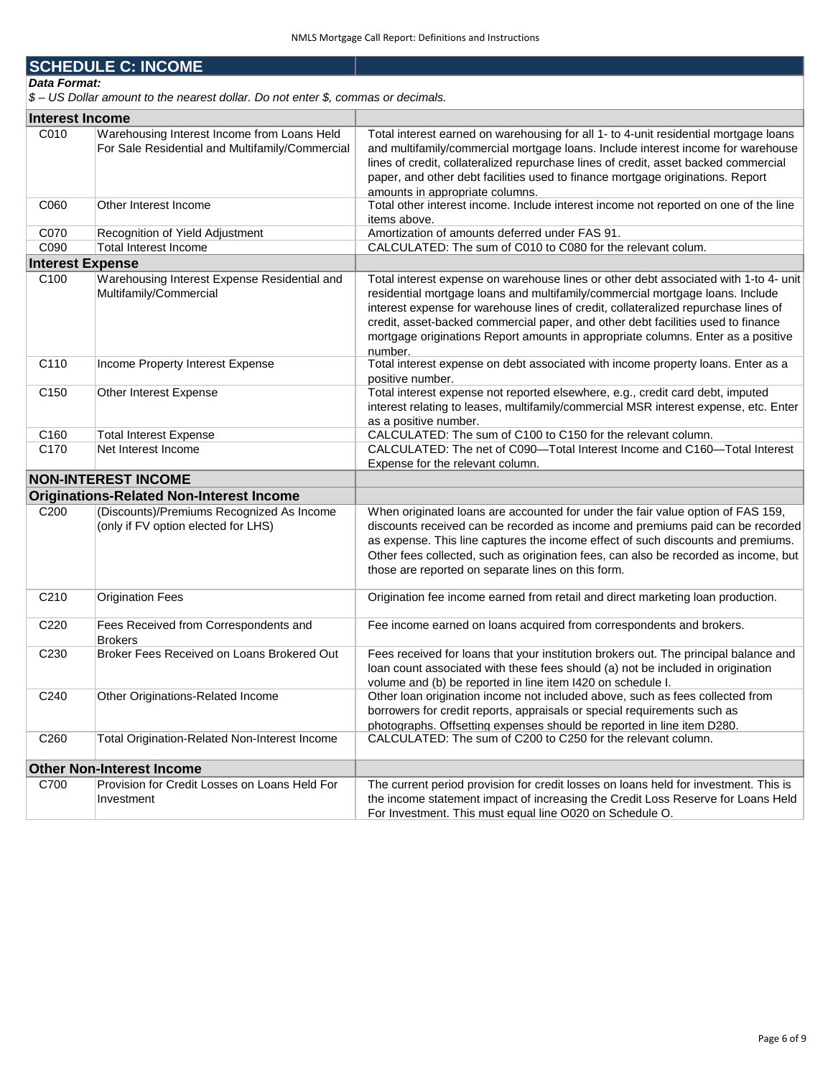## **SCHEDULE C: INCOME**

*Data Format:*

*\$ – US Dollar amount to the nearest dollar. Do not enter \$, commas or decimals.* 

| <b>Interest Income</b>  |                                                                                                |                                                                                                                                                                                                                                                                                                                                                                                                                                                |
|-------------------------|------------------------------------------------------------------------------------------------|------------------------------------------------------------------------------------------------------------------------------------------------------------------------------------------------------------------------------------------------------------------------------------------------------------------------------------------------------------------------------------------------------------------------------------------------|
| C010                    | Warehousing Interest Income from Loans Held<br>For Sale Residential and Multifamily/Commercial | Total interest earned on warehousing for all 1- to 4-unit residential mortgage loans<br>and multifamily/commercial mortgage loans. Include interest income for warehouse<br>lines of credit, collateralized repurchase lines of credit, asset backed commercial<br>paper, and other debt facilities used to finance mortgage originations. Report<br>amounts in appropriate columns.                                                           |
| C060                    | Other Interest Income                                                                          | Total other interest income. Include interest income not reported on one of the line<br>items above.                                                                                                                                                                                                                                                                                                                                           |
| C070                    | Recognition of Yield Adjustment                                                                | Amortization of amounts deferred under FAS 91.                                                                                                                                                                                                                                                                                                                                                                                                 |
| C090                    | Total Interest Income                                                                          | CALCULATED: The sum of C010 to C080 for the relevant colum.                                                                                                                                                                                                                                                                                                                                                                                    |
| <b>Interest Expense</b> |                                                                                                |                                                                                                                                                                                                                                                                                                                                                                                                                                                |
| C <sub>100</sub>        | Warehousing Interest Expense Residential and<br>Multifamily/Commercial                         | Total interest expense on warehouse lines or other debt associated with 1-to 4- unit<br>residential mortgage loans and multifamily/commercial mortgage loans. Include<br>interest expense for warehouse lines of credit, collateralized repurchase lines of<br>credit, asset-backed commercial paper, and other debt facilities used to finance<br>mortgage originations Report amounts in appropriate columns. Enter as a positive<br>number. |
| C110                    | Income Property Interest Expense                                                               | Total interest expense on debt associated with income property loans. Enter as a<br>positive number.                                                                                                                                                                                                                                                                                                                                           |
| C <sub>150</sub>        | Other Interest Expense                                                                         | Total interest expense not reported elsewhere, e.g., credit card debt, imputed<br>interest relating to leases, multifamily/commercial MSR interest expense, etc. Enter<br>as a positive number.                                                                                                                                                                                                                                                |
| C160                    | <b>Total Interest Expense</b>                                                                  | CALCULATED: The sum of C100 to C150 for the relevant column.                                                                                                                                                                                                                                                                                                                                                                                   |
| C170                    | Net Interest Income                                                                            | CALCULATED: The net of C090-Total Interest Income and C160-Total Interest<br>Expense for the relevant column.                                                                                                                                                                                                                                                                                                                                  |
|                         | <b>NON-INTEREST INCOME</b>                                                                     |                                                                                                                                                                                                                                                                                                                                                                                                                                                |
|                         | <b>Originations-Related Non-Interest Income</b>                                                |                                                                                                                                                                                                                                                                                                                                                                                                                                                |
| C <sub>200</sub>        | (Discounts)/Premiums Recognized As Income<br>(only if FV option elected for LHS)               | When originated loans are accounted for under the fair value option of FAS 159,<br>discounts received can be recorded as income and premiums paid can be recorded<br>as expense. This line captures the income effect of such discounts and premiums.<br>Other fees collected, such as origination fees, can also be recorded as income, but<br>those are reported on separate lines on this form.                                             |
| C210                    | <b>Origination Fees</b>                                                                        | Origination fee income earned from retail and direct marketing loan production.                                                                                                                                                                                                                                                                                                                                                                |
| C220                    | Fees Received from Correspondents and<br><b>Brokers</b>                                        | Fee income earned on loans acquired from correspondents and brokers.                                                                                                                                                                                                                                                                                                                                                                           |
| C230                    | Broker Fees Received on Loans Brokered Out                                                     | Fees received for loans that your institution brokers out. The principal balance and<br>loan count associated with these fees should (a) not be included in origination<br>volume and (b) be reported in line item I420 on schedule I.                                                                                                                                                                                                         |
| C240                    | Other Originations-Related Income                                                              | Other loan origination income not included above, such as fees collected from<br>borrowers for credit reports, appraisals or special requirements such as<br>photographs. Offsetting expenses should be reported in line item D280.                                                                                                                                                                                                            |
| C260                    | Total Origination-Related Non-Interest Income                                                  | CALCULATED: The sum of C200 to C250 for the relevant column.                                                                                                                                                                                                                                                                                                                                                                                   |
|                         | <b>Other Non-Interest Income</b>                                                               |                                                                                                                                                                                                                                                                                                                                                                                                                                                |
| C700                    | Provision for Credit Losses on Loans Held For<br>Investment                                    | The current period provision for credit losses on loans held for investment. This is<br>the income statement impact of increasing the Credit Loss Reserve for Loans Held<br>For Investment. This must equal line O020 on Schedule O.                                                                                                                                                                                                           |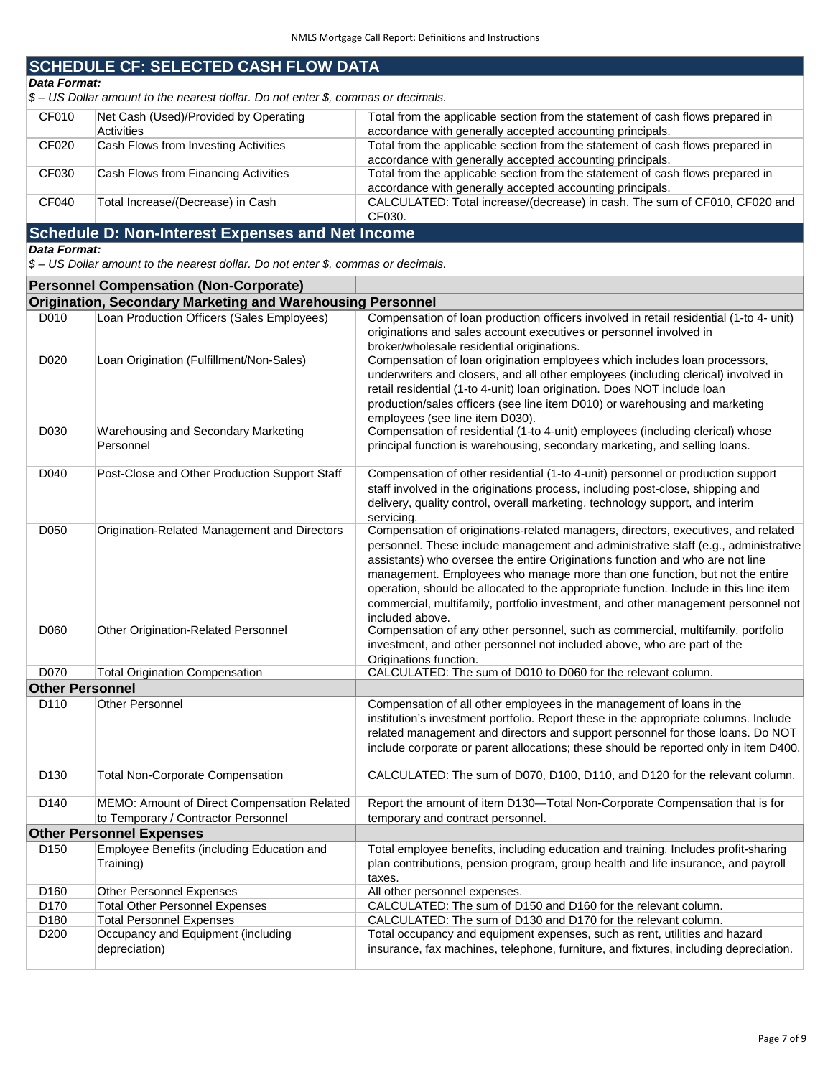## **SCHEDULE CF: SELECTED CASH FLOW DATA**

## *Data Format:*

*\$ – US Dollar amount to the nearest dollar. Do not enter \$, commas or decimals.* 

| CF010 | Net Cash (Used)/Provided by Operating | Total from the applicable section from the statement of cash flows prepared in |
|-------|---------------------------------------|--------------------------------------------------------------------------------|
|       | <b>Activities</b>                     | accordance with generally accepted accounting principals.                      |
| CF020 | Cash Flows from Investing Activities  | Total from the applicable section from the statement of cash flows prepared in |
|       |                                       | accordance with generally accepted accounting principals.                      |
| CF030 | Cash Flows from Financing Activities  | Total from the applicable section from the statement of cash flows prepared in |
|       |                                       | accordance with generally accepted accounting principals.                      |
| CF040 | Total Increase/(Decrease) in Cash     | CALCULATED: Total increase/(decrease) in cash. The sum of CF010, CF020 and     |
|       |                                       | CF030.                                                                         |

## **Schedule D: Non-Interest Expenses and Net Income**

### *Data Format:*

*\$ – US Dollar amount to the nearest dollar. Do not enter \$, commas or decimals.* 

|                        | <b>Personnel Compensation (Non-Corporate)</b>                     |                                                                                        |
|------------------------|-------------------------------------------------------------------|----------------------------------------------------------------------------------------|
|                        | <b>Origination, Secondary Marketing and Warehousing Personnel</b> |                                                                                        |
| D010                   | Loan Production Officers (Sales Employees)                        | Compensation of loan production officers involved in retail residential (1-to 4- unit) |
|                        |                                                                   | originations and sales account executives or personnel involved in                     |
|                        |                                                                   | broker/wholesale residential originations.                                             |
| D020                   | Loan Origination (Fulfillment/Non-Sales)                          | Compensation of loan origination employees which includes loan processors,             |
|                        |                                                                   | underwriters and closers, and all other employees (including clerical) involved in     |
|                        |                                                                   | retail residential (1-to 4-unit) loan origination. Does NOT include loan               |
|                        |                                                                   | production/sales officers (see line item D010) or warehousing and marketing            |
|                        |                                                                   | employees (see line item D030).                                                        |
| D030                   | Warehousing and Secondary Marketing                               | Compensation of residential (1-to 4-unit) employees (including clerical) whose         |
|                        | Personnel                                                         | principal function is warehousing, secondary marketing, and selling loans.             |
| D040                   | Post-Close and Other Production Support Staff                     | Compensation of other residential (1-to 4-unit) personnel or production support        |
|                        |                                                                   | staff involved in the originations process, including post-close, shipping and         |
|                        |                                                                   | delivery, quality control, overall marketing, technology support, and interim          |
|                        |                                                                   | servicing.                                                                             |
| D050                   | Origination-Related Management and Directors                      | Compensation of originations-related managers, directors, executives, and related      |
|                        |                                                                   | personnel. These include management and administrative staff (e.g., administrative     |
|                        |                                                                   | assistants) who oversee the entire Originations function and who are not line          |
|                        |                                                                   | management. Employees who manage more than one function, but not the entire            |
|                        |                                                                   | operation, should be allocated to the appropriate function. Include in this line item  |
|                        |                                                                   | commercial, multifamily, portfolio investment, and other management personnel not      |
|                        |                                                                   | included above.                                                                        |
| D060                   | Other Origination-Related Personnel                               | Compensation of any other personnel, such as commercial, multifamily, portfolio        |
|                        |                                                                   | investment, and other personnel not included above, who are part of the                |
|                        |                                                                   | Originations function.                                                                 |
| D070                   | <b>Total Origination Compensation</b>                             | CALCULATED: The sum of D010 to D060 for the relevant column.                           |
| <b>Other Personnel</b> |                                                                   |                                                                                        |
| D110                   | <b>Other Personnel</b>                                            | Compensation of all other employees in the management of loans in the                  |
|                        |                                                                   | institution's investment portfolio. Report these in the appropriate columns. Include   |
|                        |                                                                   | related management and directors and support personnel for those loans. Do NOT         |
|                        |                                                                   | include corporate or parent allocations; these should be reported only in item D400.   |
|                        |                                                                   |                                                                                        |
| D <sub>130</sub>       | <b>Total Non-Corporate Compensation</b>                           | CALCULATED: The sum of D070, D100, D110, and D120 for the relevant column.             |
| D140                   | MEMO: Amount of Direct Compensation Related                       | Report the amount of item D130-Total Non-Corporate Compensation that is for            |
|                        | to Temporary / Contractor Personnel                               | temporary and contract personnel.                                                      |
|                        | <b>Other Personnel Expenses</b>                                   |                                                                                        |
| D <sub>150</sub>       | Employee Benefits (including Education and                        | Total employee benefits, including education and training. Includes profit-sharing     |
|                        | Training)                                                         | plan contributions, pension program, group health and life insurance, and payroll      |
|                        |                                                                   | taxes.                                                                                 |
| D <sub>160</sub>       | Other Personnel Expenses                                          | All other personnel expenses.                                                          |
| D170                   | <b>Total Other Personnel Expenses</b>                             | CALCULATED: The sum of D150 and D160 for the relevant column.                          |
| D <sub>180</sub>       | <b>Total Personnel Expenses</b>                                   | CALCULATED: The sum of D130 and D170 for the relevant column.                          |
| D <sub>200</sub>       | Occupancy and Equipment (including                                | Total occupancy and equipment expenses, such as rent, utilities and hazard             |
|                        | depreciation)                                                     | insurance, fax machines, telephone, furniture, and fixtures, including depreciation.   |